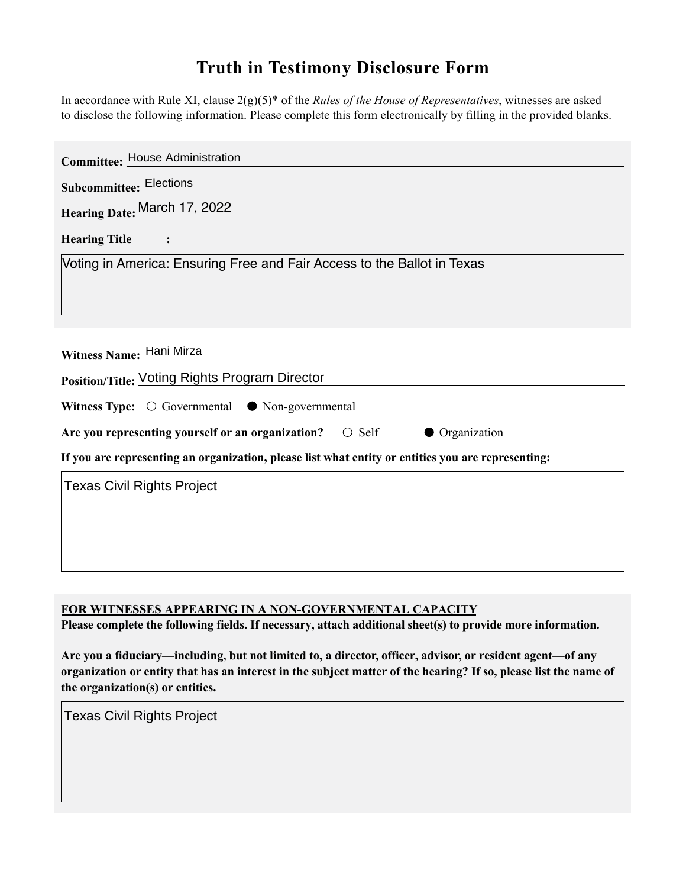## **Truth in Testimony Disclosure Form**

In accordance with Rule XI, clause 2(g)(5)\* of the *Rules of the House of Representatives*, witnesses are asked to disclose the following information. Please complete this form electronically by filling in the provided blanks.

| <b>Committee: House Administration</b>                                                             |
|----------------------------------------------------------------------------------------------------|
| <b>Subcommittee: Elections</b>                                                                     |
| Hearing Date: March 17, 2022                                                                       |
| <b>Hearing Title</b>                                                                               |
| Voting in America: Ensuring Free and Fair Access to the Ballot in Texas                            |
|                                                                                                    |
|                                                                                                    |
| Witness Name: Hani Mirza                                                                           |
| Position/Title: Voting Rights Program Director                                                     |
| Witness Type: $\bigcirc$ Governmental $\bullet$ Non-governmental                                   |
| Are you representing yourself or an organization?<br>$\bigcirc$ Self<br>• Organization             |
| If you are representing an organization, please list what entity or entities you are representing: |
| <b>Texas Civil Rights Project</b>                                                                  |
|                                                                                                    |
|                                                                                                    |
|                                                                                                    |

**FOR WITNESSES APPEARING IN A NON-GOVERNMENTAL CAPACITY**

**Please complete the following fields. If necessary, attach additional sheet(s) to provide more information.**

**Are you a fiduciary—including, but not limited to, a director, officer, advisor, or resident agent—of any organization or entity that has an interest in the subject matter of the hearing? If so, please list the name of the organization(s) or entities.**

Texas Civil Rights Project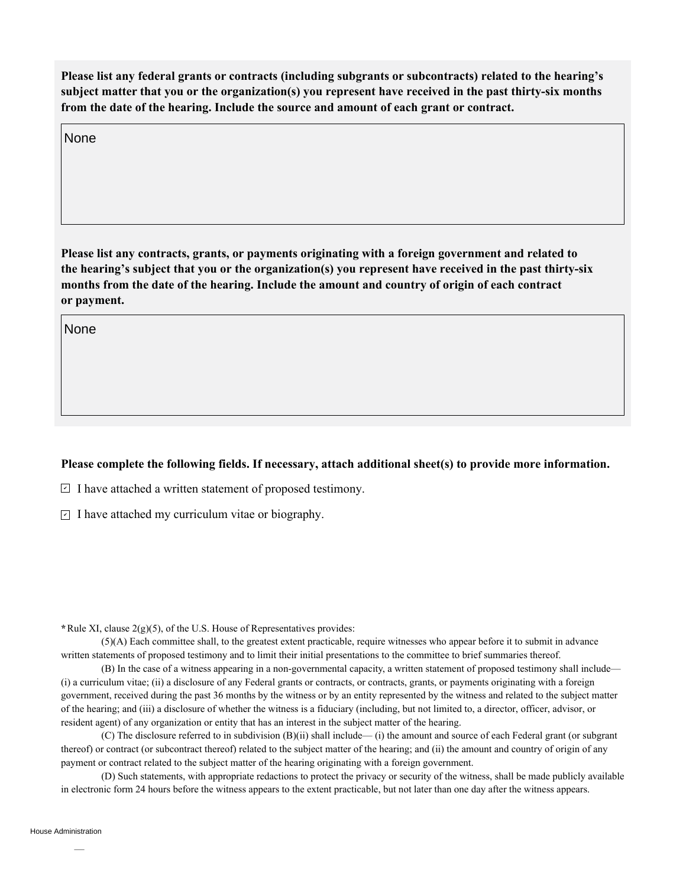**Please list any federal grants or contracts (including subgrants or subcontracts) related to the hearing's subject matter that you or the organization(s) you represent have received in the past thirty-six months from the date of the hearing. Include the source and amount of each grant or contract.** 

None

**Please list any contracts, grants, or payments originating with a foreign government and related to the hearing's subject that you or the organization(s) you represent have received in the past thirty-six months from the date of the hearing. Include the amount and country of origin of each contract or payment.** 

None

## **Please complete the following fields. If necessary, attach additional sheet(s) to provide more information.**

 $\exists$  I have attached a written statement of proposed testimony.

 $\subseteq$  I have attached my curriculum vitae or biography.

**\***Rule XI, clause 2(g)(5), of the U.S. House of Representatives provides:

(5)(A) Each committee shall, to the greatest extent practicable, require witnesses who appear before it to submit in advance written statements of proposed testimony and to limit their initial presentations to the committee to brief summaries thereof.

(B) In the case of a witness appearing in a non-governmental capacity, a written statement of proposed testimony shall include— (i) a curriculum vitae; (ii) a disclosure of any Federal grants or contracts, or contracts, grants, or payments originating with a foreign government, received during the past 36 months by the witness or by an entity represented by the witness and related to the subject matter of the hearing; and (iii) a disclosure of whether the witness is a fiduciary (including, but not limited to, a director, officer, advisor, or resident agent) of any organization or entity that has an interest in the subject matter of the hearing.

(C) The disclosure referred to in subdivision (B)(ii) shall include— (i) the amount and source of each Federal grant (or subgrant thereof) or contract (or subcontract thereof) related to the subject matter of the hearing; and (ii) the amount and country of origin of any payment or contract related to the subject matter of the hearing originating with a foreign government.

(D) Such statements, with appropriate redactions to protect the privacy or security of the witness, shall be made publicly available in electronic form 24 hours before the witness appears to the extent practicable, but not later than one day after the witness appears.

House Administration